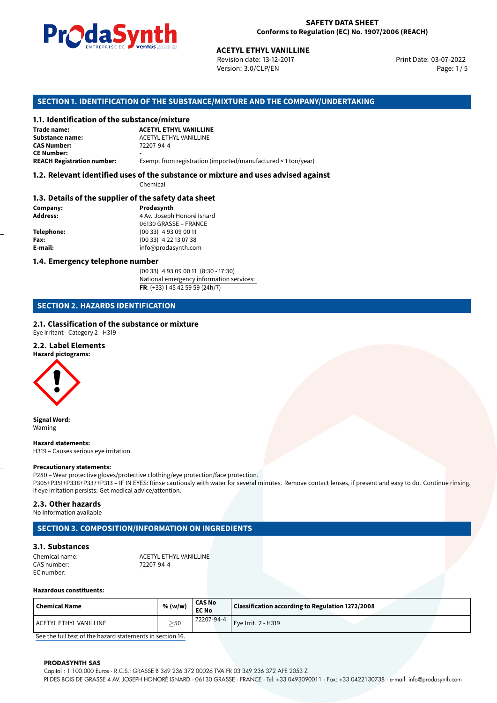

Revision date: 13-12-2017 Version: 3.0/CLP/EN Page: 1/5

Print Date: 03-07-2022

# **ACETYL ETHYL VANILLINE**<br>
Revision date: 13-12-2017<br>
Version: 3.0/CLP/EN<br> **OF THE SUBSTANCE/MIXTURE AND THE COMPA**<br> **ACETYL ETHYL VANILLINE SECTION 1. IDENTIFICATION OF THE SUBSTANCE/MIXTURE AND THE COMPANY/UNDERTAKING**

#### **1.1. Identification of the substance/mixture**

| Trade name:                       |  |
|-----------------------------------|--|
| Substance name:                   |  |
| <b>CAS Number:</b>                |  |
| <b>CE Number:</b>                 |  |
| <b>REACH Registration number:</b> |  |

**Substance name:** ACETYL ETHYL VANILLINE **CAS Number:** 72207-94-4

Exempt from registration (imported/manufactured < 1 ton/year)

#### **1.2. Relevant identified uses of the substance or mixture and uses advised against**

Chemical

#### **1.3. Details of the supplier of the safety data sheet**

| Company:   | Prodasynth                 |
|------------|----------------------------|
| Address:   | 4 Av. Joseph Honoré Isnard |
|            | 06130 GRASSE - FRANCE      |
| Telephone: | $(0033)$ 4 93 09 00 11     |
| Fax:       | $(0033)$ 4 22 13 07 38     |
| E-mail:    | info@prodasynth.com        |
|            |                            |

#### **1.4. Emergency telephone number**

(00 33) 4 93 09 00 11 (8:30 - 17:30) National emergency information services: **FR**: (+33) 1 45 42 59 59 (24h/7)

#### **SECTION 2. HAZARDS IDENTIFICATION**

#### **2.1. Classification of the substance or mixture**

Eye Irritant - Category 2 - H319

#### **2.2. Label Elements**

**Hazard pictograms:**



**Signal Word:** Warning

**Hazard statements:** H319 – Causes serious eye irritation.

#### **Precautionary statements:**

P280 – Wear protective gloves/protective clothing/eye protection/face protection. P305+P351+P338+P337+P313 – IF IN EYES: Rinse cautiously with water for several minutes. Remove contact lenses, if present and easy to do. Continue rinsing. If eye irritation persists: Get medical advice/attention.

#### **2.3. Other hazards**

No Information available

#### **SECTION 3. COMPOSITION/INFORMATION ON INGREDIENTS**

#### **3.1. Substances**

Chemical name:  $ACETYL ETHYL VANILLINE  
\nCAS number: 72207-94-4$ CAS number: EC number:

#### **Hazardous constituents:**

| <b>Chemical Name</b>     | % (w/w)  | <b>CAS No</b><br><b>EC No</b> | Classification according to Regulation 1272/2008 |  |
|--------------------------|----------|-------------------------------|--------------------------------------------------|--|
| ' ACETYL ETHYL VANILLINE | >50<br>- | 72207-94-4                    | $^{\prime}$ Eve Irrit. 2 - H319 $^{\prime}$      |  |

[See the full text of the hazard statements in section 16.](#page--1-0)

#### **PRODASYNTH SAS**

Capital : 1.100.000 Euros · R.C.S.: GRASSE B 349 236 372 00026 TVA FR 03 349 236 372 APE 2053 Z PI DES BOIS DE GRASSE 4 AV. JOSEPH HONORÉ ISNARD · 06130 GRASSE · FRANCE · Tel: +33 0493090011 · Fax: +33 0422130738 · e-mail: info@prodasynth.com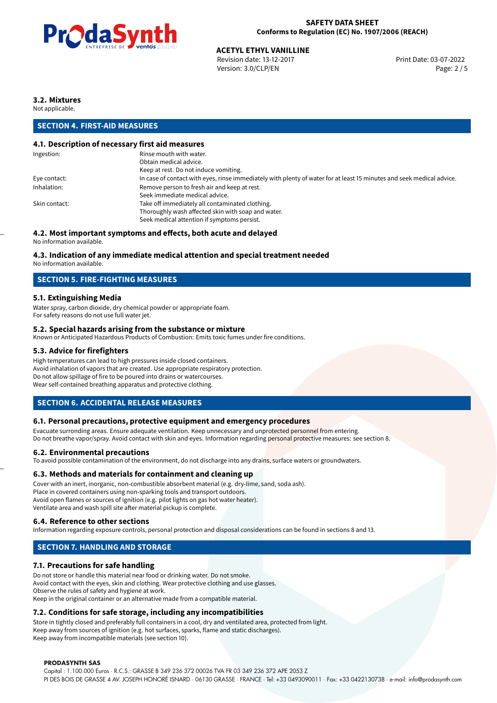

## **ACETYL ETHYL VANILLINE**<br>
Revision date: 13-12-2017<br> **Print Date: 03-07-2022**

Revision date: 13-12-2017 Version: 3.0/CLP/EN Page: 2 / 5

#### **3.2. Mixtures**

Not applicable.

#### **SECTION 4. FIRST-AID MEASURES**

#### **4.1. Description of necessary first aid measures**

| Ingestion:    | Rinse mouth with water.                                                                                               |
|---------------|-----------------------------------------------------------------------------------------------------------------------|
|               | Obtain medical advice.                                                                                                |
|               | Keep at rest. Do not induce vomiting.                                                                                 |
| Eye contact:  | In case of contact with eyes, rinse immediately with plenty of water for at least 15 minutes and seek medical advice. |
| Inhalation:   | Remove person to fresh air and keep at rest.                                                                          |
|               | Seek immediate medical advice.                                                                                        |
| Skin contact: | Take off immediately all contaminated clothing.                                                                       |
|               | Thoroughly wash affected skin with soap and water.                                                                    |
|               | Seek medical attention if symptoms persist.                                                                           |
|               |                                                                                                                       |

#### **4.2. Most important symptoms and effects, both acute and delayed**

No information available.

#### **4.3. Indication of any immediate medical attention and special treatment needed**

No information available.

#### **SECTION 5. FIRE-FIGHTING MEASURES**

#### **5.1. Extinguishing Media**

Water spray, carbon dioxide, dry chemical powder or appropriate foam. For safety reasons do not use full water jet.

#### **5.2. Special hazards arising from the substance or mixture**

Known or Anticipated Hazardous Products of Combustion: Emits toxic fumes under fire conditions.

#### **5.3. Advice for firefighters**

High temperatures can lead to high pressures inside closed containers. Avoid inhalation of vapors that are created. Use appropriate respiratory protection. Do not allow spillage of fire to be poured into drains or watercourses. Wear self-contained breathing apparatus and protective clothing.

#### **SECTION 6. ACCIDENTAL RELEASE MEASURES**

#### **6.1. Personal precautions, protective equipment and emergency procedures**

Evacuate surronding areas. Ensure adequate ventilation. Keep unnecessary and unprotected personnel from entering. Do not breathe vapor/spray. Avoid contact with skin and eyes. Information regarding personal protective measures: see section 8.

#### **6.2. Environmental precautions**

To avoid possible contamination of the environment, do not discharge into any drains, surface waters or groundwaters.

#### **6.3. Methods and materials for containment and cleaning up**

Cover with an inert, inorganic, non-combustible absorbent material (e.g. dry-lime, sand, soda ash). Place in covered containers using non-sparking tools and transport outdoors. Avoid open flames or sources of ignition (e.g. pilot lights on gas hot water heater). Ventilate area and wash spill site after material pickup is complete.

#### **6.4. Reference to other sections**

Information regarding exposure controls, personal protection and disposal considerations can be found in sections 8 and 13.

#### **SECTION 7. HANDLING AND STORAGE**

#### **7.1. Precautions for safe handling**

Do not store or handle this material near food or drinking water. Do not smoke. Avoid contact with the eyes, skin and clothing. Wear protective clothing and use glasses. Observe the rules of safety and hygiene at work. Keep in the original container or an alternative made from a compatible material.

#### **7.2. Conditions for safe storage, including any incompatibilities**

Store in tightly closed and preferably full containers in a cool, dry and ventilated area, protected from light. Keep away from sources of ignition (e.g. hot surfaces, sparks, flame and static discharges). Keep away from incompatible materials (see section 10).

#### **PRODASYNTH SAS**

Capital : 1.100.000 Euros · R.C.S.: GRASSE B 349 236 372 00026 TVA FR 03 349 236 372 APE 2053 Z PI DES BOIS DE GRASSE 4 AV. JOSEPH HONORÉ ISNARD · 06130 GRASSE · FRANCE · Tel: +33 0493090011 · Fax: +33 0422130738 · e-mail: info@prodasynth.com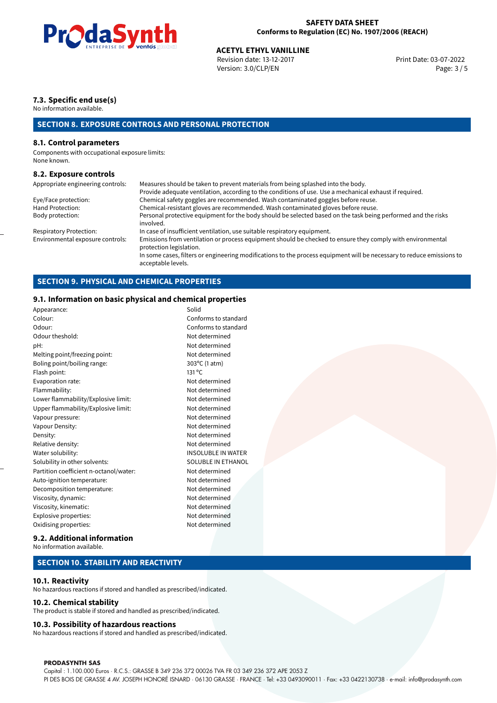

## **ACETYL ETHYL VANILLINE**<br>
Revision date: 13-12-2017<br> **Aces** Print Date: 03-07-2022

Revision date: 13-12-2017 Version: 3.0/CLP/EN Page: 3 / 5

#### **7.3. Specific end use(s)**

No information available.

### **SECTION 8. EXPOSURE CONTROLS AND PERSONAL PROTECTION**

#### **8.1. Control parameters**

Components with occupational exposure limits: None known.

#### **8.2. Exposure controls**

| Appropriate engineering controls: | Measures should be taken to prevent materials from being splashed into the body.                                                            |
|-----------------------------------|---------------------------------------------------------------------------------------------------------------------------------------------|
|                                   | Provide adequate ventilation, according to the conditions of use. Use a mechanical exhaust if required.                                     |
| Eye/Face protection:              | Chemical safety goggles are recommended. Wash contaminated goggles before reuse.                                                            |
| Hand Protection:                  | Chemical-resistant gloves are recommended. Wash contaminated gloves before reuse.                                                           |
| Body protection:                  | Personal protective equipment for the body should be selected based on the task being performed and the risks<br>involved.                  |
| Respiratory Protection:           | In case of insufficient ventilation, use suitable respiratory equipment.                                                                    |
| Environmental exposure controls:  | Emissions from ventilation or process equipment should be checked to ensure they comply with environmental<br>protection legislation.       |
|                                   | In some cases, filters or engineering modifications to the process equipment will be necessary to reduce emissions to<br>acceptable levels. |

#### **SECTION 9. PHYSICAL AND CHEMICAL PROPERTIES**

#### **9.1. Information on basic physical and chemical properties**

| Appearance:                            | Solid                     |  |
|----------------------------------------|---------------------------|--|
| Colour:                                | Conforms to standard      |  |
| Odour:                                 | Conforms to standard      |  |
| Odour theshold:                        | Not determined            |  |
| pH:                                    | Not determined            |  |
| Melting point/freezing point:          | Not determined            |  |
| Boling point/boiling range:            | 303°C (1 atm)             |  |
| Flash point:                           | 131 °C                    |  |
| Evaporation rate:                      | Not determined            |  |
| Flammability:                          | Not determined            |  |
| Lower flammability/Explosive limit:    | Not determined            |  |
| Upper flammability/Explosive limit:    | Not determined            |  |
| Vapour pressure:                       | Not determined            |  |
| Vapour Density:                        | Not determined            |  |
| Density:                               | Not determined            |  |
| Relative density:                      | Not determined            |  |
| Water solubility:                      | <b>INSOLUBLE IN WATER</b> |  |
| Solubility in other solvents:          | SOLUBLE IN ETHANOL        |  |
| Partition coefficient n-octanol/water: | Not determined            |  |
| Auto-ignition temperature:             | Not determined            |  |
| Decomposition temperature:             | Not determined            |  |
| Viscosity, dynamic:                    | Not determined            |  |
| Viscosity, kinematic:                  | Not determined            |  |
| Explosive properties:                  | Not determined            |  |
| Oxidising properties:                  | Not determined            |  |
|                                        |                           |  |

#### **9.2. Additional information**

No information available.

#### **SECTION 10. STABILITY AND REACTIVITY**

#### **10.1. Reactivity**

No hazardous reactions if stored and handled as prescribed/indicated.

#### **10.2. Chemical stability**

The product is stable if stored and handled as prescribed/indicated.

#### **10.3. Possibility of hazardous reactions**

No hazardous reactions if stored and handled as prescribed/indicated.

#### **PRODASYNTH SAS**

Capital : 1.100.000 Euros · R.C.S.: GRASSE B 349 236 372 00026 TVA FR 03 349 236 372 APE 2053 Z PI DES BOIS DE GRASSE 4 AV. JOSEPH HONORÉ ISNARD · 06130 GRASSE · FRANCE · Tel: +33 0493090011 · Fax: +33 0422130738 · e-mail: info@prodasynth.com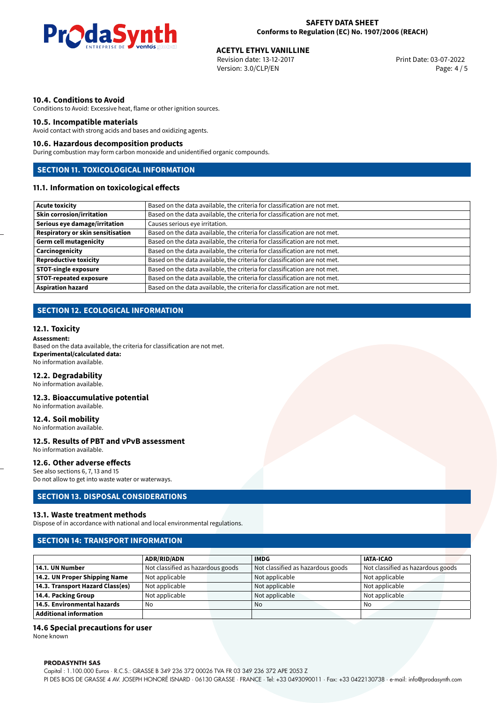

## **ACETYL ETHYL VANILLINE**<br>
Revision date: 13-12-2017<br> **Print Date: 03-07-2022**

Revision date: 13-12-2017 Version: 3.0/CLP/EN Page: 4 / 5

#### **10.4. Conditions to Avoid**

Conditions to Avoid: Excessive heat, flame or other ignition sources.

#### **10.5. Incompatible materials**

Avoid contact with strong acids and bases and oxidizing agents.

#### **10.6. Hazardous decomposition products**

During combustion may form carbon monoxide and unidentified organic compounds.

## **SECTION 11. TOXICOLOGICAL INFORMATION**

#### **11.1. Information on toxicological effects**

| Acute toxicity                    | Based on the data available, the criteria for classification are not met. |
|-----------------------------------|---------------------------------------------------------------------------|
| <b>Skin corrosion/irritation</b>  | Based on the data available, the criteria for classification are not met. |
| Serious eye damage/irritation     | Causes serious eye irritation.                                            |
| Respiratory or skin sensitisation | Based on the data available, the criteria for classification are not met. |
| Germ cell mutagenicity            | Based on the data available, the criteria for classification are not met. |
| Carcinogenicity                   | Based on the data available, the criteria for classification are not met. |
| Reproductive toxicity             | Based on the data available, the criteria for classification are not met. |
| <b>STOT-single exposure</b>       | Based on the data available, the criteria for classification are not met. |
| STOT-repeated exposure            | Based on the data available, the criteria for classification are not met. |
| <b>Aspiration hazard</b>          | Based on the data available, the criteria for classification are not met. |

#### **SECTION 12. ECOLOGICAL INFORMATION**

#### **12.1. Toxicity**

#### **Assessment:**

Based on the data available, the criteria for classification are not met. **Experimental/calculated data:** No information available.

#### **12.2. Degradability**

No information available.

#### **12.3. Bioaccumulative potential**

No information available.

#### **12.4. Soil mobility**

No information available.

#### **12.5. Results of PBT and vPvB assessment** No information available.

#### **12.6. Other adverse effects**

See also sections 6, 7, 13 and 15 Do not allow to get into waste water or waterways.

#### **SECTION 13. DISPOSAL CONSIDERATIONS**

#### **13.1. Waste treatment methods**

Dispose of in accordance with national and local environmental regulations.

#### **SECTION 14: TRANSPORT INFORMATION**

|                                  | <b>ADR/RID/ADN</b>                | <b>IMDG</b> |                                   | <b>IATA-ICAO</b>                  |
|----------------------------------|-----------------------------------|-------------|-----------------------------------|-----------------------------------|
| 14.1. UN Number                  | Not classified as hazardous goods |             | Not classified as hazardous goods | Not classified as hazardous goods |
| 14.2. UN Proper Shipping Name    | Not applicable                    |             | Not applicable                    | Not applicable                    |
| 14.3. Transport Hazard Class(es) | Not applicable                    |             | Not applicable                    | Not applicable                    |
| 14.4. Packing Group              | Not applicable                    |             | Not applicable                    | Not applicable                    |
| 14.5. Environmental hazards      | No                                | No          |                                   | No                                |
| <b>Additional information</b>    |                                   |             |                                   |                                   |

#### **14.6 Special precautions for user**

None known

#### **PRODASYNTH SAS**